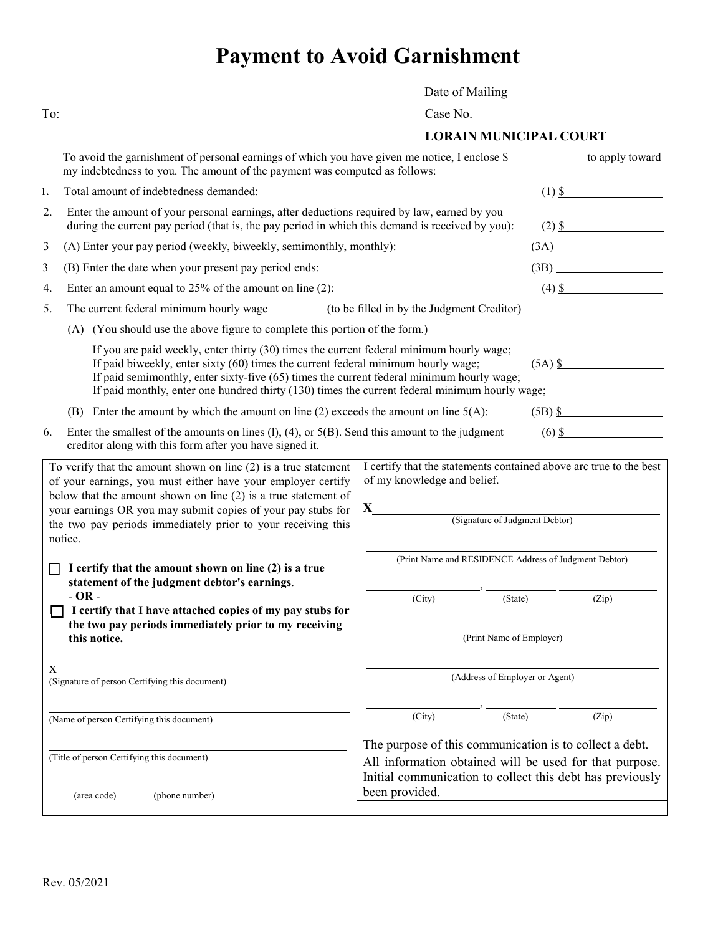## **Payment to Avoid Garnishment**

|                                                                                                                                                                                                                                                                                                                                                                                                                                                                                                                                                                                                 | $To: \_\_$                                                                                                                                                                                             |                                                                                                                                          |  |                        |
|-------------------------------------------------------------------------------------------------------------------------------------------------------------------------------------------------------------------------------------------------------------------------------------------------------------------------------------------------------------------------------------------------------------------------------------------------------------------------------------------------------------------------------------------------------------------------------------------------|--------------------------------------------------------------------------------------------------------------------------------------------------------------------------------------------------------|------------------------------------------------------------------------------------------------------------------------------------------|--|------------------------|
|                                                                                                                                                                                                                                                                                                                                                                                                                                                                                                                                                                                                 |                                                                                                                                                                                                        | <b>LORAIN MUNICIPAL COURT</b>                                                                                                            |  |                        |
|                                                                                                                                                                                                                                                                                                                                                                                                                                                                                                                                                                                                 | To avoid the garnishment of personal earnings of which you have given me notice, I enclose \$___________ to apply toward<br>my indebtedness to you. The amount of the payment was computed as follows: |                                                                                                                                          |  |                        |
| 1.                                                                                                                                                                                                                                                                                                                                                                                                                                                                                                                                                                                              | Total amount of indebtedness demanded:                                                                                                                                                                 |                                                                                                                                          |  | $(1)$ \$               |
| 2.                                                                                                                                                                                                                                                                                                                                                                                                                                                                                                                                                                                              | Enter the amount of your personal earnings, after deductions required by law, earned by you<br>during the current pay period (that is, the pay period in which this demand is received by you):        |                                                                                                                                          |  | $(2)$ \$               |
| 3                                                                                                                                                                                                                                                                                                                                                                                                                                                                                                                                                                                               | (A) Enter your pay period (weekly, biweekly, semimonthly, monthly):                                                                                                                                    |                                                                                                                                          |  |                        |
| 3                                                                                                                                                                                                                                                                                                                                                                                                                                                                                                                                                                                               | (B) Enter the date when your present pay period ends:                                                                                                                                                  |                                                                                                                                          |  | (3B)                   |
| 4.                                                                                                                                                                                                                                                                                                                                                                                                                                                                                                                                                                                              | Enter an amount equal to $25%$ of the amount on line (2):                                                                                                                                              |                                                                                                                                          |  | $(4)$ \$               |
| 5.                                                                                                                                                                                                                                                                                                                                                                                                                                                                                                                                                                                              | The current federal minimum hourly wage _________ (to be filled in by the Judgment Creditor)                                                                                                           |                                                                                                                                          |  |                        |
|                                                                                                                                                                                                                                                                                                                                                                                                                                                                                                                                                                                                 | (A) (You should use the above figure to complete this portion of the form.)                                                                                                                            |                                                                                                                                          |  |                        |
| If you are paid weekly, enter thirty (30) times the current federal minimum hourly wage;<br>If paid biweekly, enter sixty (60) times the current federal minimum hourly wage;<br>$(5A)$ \$<br>If paid semimonthly, enter sixty-five (65) times the current federal minimum hourly wage;<br>If paid monthly, enter one hundred thirty (130) times the current federal minimum hourly wage;                                                                                                                                                                                                       |                                                                                                                                                                                                        |                                                                                                                                          |  |                        |
|                                                                                                                                                                                                                                                                                                                                                                                                                                                                                                                                                                                                 | (B) Enter the amount by which the amount on line (2) exceeds the amount on line $5(A)$ :                                                                                                               |                                                                                                                                          |  | $(5B)$ $\frac{\$}{\$}$ |
| 6.                                                                                                                                                                                                                                                                                                                                                                                                                                                                                                                                                                                              | $(6)$ \$<br>Enter the smallest of the amounts on lines $(l)$ , $(4)$ , or $5(B)$ . Send this amount to the judgment<br>creditor along with this form after you have signed it.                         |                                                                                                                                          |  |                        |
| To verify that the amount shown on line $(2)$ is a true statement<br>of your earnings, you must either have your employer certify<br>below that the amount shown on line $(2)$ is a true statement of<br>your earnings OR you may submit copies of your pay stubs for<br>the two pay periods immediately prior to your receiving this<br>notice.<br>I certify that the amount shown on line (2) is a true<br>П<br>statement of the judgment debtor's earnings.<br>$-OR -$<br>I certify that I have attached copies of my pay stubs for<br>the two pay periods immediately prior to my receiving |                                                                                                                                                                                                        | I certify that the statements contained above arc true to the best<br>of my knowledge and belief.<br>X<br>(Signature of Judgment Debtor) |  |                        |
|                                                                                                                                                                                                                                                                                                                                                                                                                                                                                                                                                                                                 |                                                                                                                                                                                                        | (Print Name and RESIDENCE Address of Judgment Debtor)                                                                                    |  |                        |
|                                                                                                                                                                                                                                                                                                                                                                                                                                                                                                                                                                                                 |                                                                                                                                                                                                        | (City)<br>(State)                                                                                                                        |  | (Zip)                  |
|                                                                                                                                                                                                                                                                                                                                                                                                                                                                                                                                                                                                 | this notice.                                                                                                                                                                                           | (Print Name of Employer)                                                                                                                 |  |                        |
| X.<br>(Signature of person Certifying this document)                                                                                                                                                                                                                                                                                                                                                                                                                                                                                                                                            |                                                                                                                                                                                                        | (Address of Employer or Agent)                                                                                                           |  |                        |
|                                                                                                                                                                                                                                                                                                                                                                                                                                                                                                                                                                                                 | (Name of person Certifying this document)                                                                                                                                                              | (City)<br>(State)                                                                                                                        |  | (Zip)                  |
|                                                                                                                                                                                                                                                                                                                                                                                                                                                                                                                                                                                                 |                                                                                                                                                                                                        | The purpose of this communication is to collect a debt.                                                                                  |  |                        |
| (Title of person Certifying this document)                                                                                                                                                                                                                                                                                                                                                                                                                                                                                                                                                      |                                                                                                                                                                                                        | All information obtained will be used for that purpose.<br>Initial communication to collect this debt has previously<br>been provided.   |  |                        |
|                                                                                                                                                                                                                                                                                                                                                                                                                                                                                                                                                                                                 | (phone number)<br>(area code)                                                                                                                                                                          |                                                                                                                                          |  |                        |